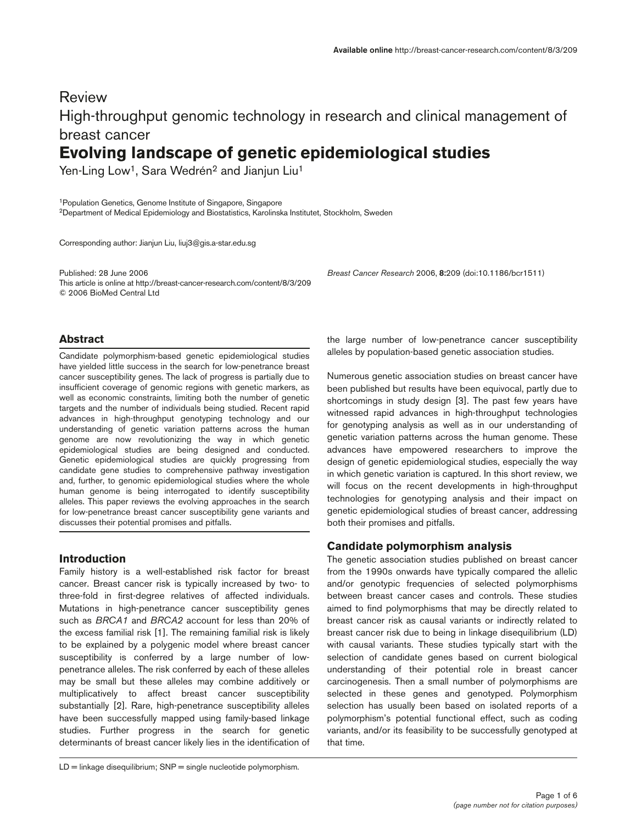# Review High-throughput genomic technology in research and clinical management of breast cancer

# **Evolving landscape of genetic epidemiological studies**

Yen-Ling Low<sup>1</sup>, Sara Wedrén<sup>2</sup> and Jianjun Liu<sup>1</sup>

1Population Genetics, Genome Institute of Singapore, Singapore 2Department of Medical Epidemiology and Biostatistics, Karolinska Institutet, Stockholm, Sweden

Corresponding author: Jianjun Liu, liuj3@gis.a-star.edu.sg

Published: 28 June 2006 *Breast Cancer Research* 2006, **8:**209 (doi:10.1186/bcr1511) This article is online at http://breast-cancer-research.com/content/8/3/209 © 2006 BioMed Central Ltd

## **Abstract**

Candidate polymorphism-based genetic epidemiological studies have yielded little success in the search for low-penetrance breast cancer susceptibility genes. The lack of progress is partially due to insufficient coverage of genomic regions with genetic markers, as well as economic constraints, limiting both the number of genetic targets and the number of individuals being studied. Recent rapid advances in high-throughput genotyping technology and our understanding of genetic variation patterns across the human genome are now revolutionizing the way in which genetic epidemiological studies are being designed and conducted. Genetic epidemiological studies are quickly progressing from candidate gene studies to comprehensive pathway investigation and, further, to genomic epidemiological studies where the whole human genome is being interrogated to identify susceptibility alleles. This paper reviews the evolving approaches in the search for low-penetrance breast cancer susceptibility gene variants and discusses their potential promises and pitfalls.

## **Introduction**

Family history is a well-established risk factor for breast cancer. Breast cancer risk is typically increased by two- to three-fold in first-degree relatives of affected individuals. Mutations in high-penetrance cancer susceptibility genes such as *BRCA1* and *BRCA2* account for less than 20% of the excess familial risk [1]. The remaining familial risk is likely to be explained by a polygenic model where breast cancer susceptibility is conferred by a large number of lowpenetrance alleles. The risk conferred by each of these alleles may be small but these alleles may combine additively or multiplicatively to affect breast cancer susceptibility substantially [2]. Rare, high-penetrance susceptibility alleles have been successfully mapped using family-based linkage studies. Further progress in the search for genetic determinants of breast cancer likely lies in the identification of

the large number of low-penetrance cancer susceptibility alleles by population-based genetic association studies.

Numerous genetic association studies on breast cancer have been published but results have been equivocal, partly due to shortcomings in study design [3]. The past few years have witnessed rapid advances in high-throughput technologies for genotyping analysis as well as in our understanding of genetic variation patterns across the human genome. These advances have empowered researchers to improve the design of genetic epidemiological studies, especially the way in which genetic variation is captured. In this short review, we will focus on the recent developments in high-throughput technologies for genotyping analysis and their impact on genetic epidemiological studies of breast cancer, addressing both their promises and pitfalls.

## **Candidate polymorphism analysis**

The genetic association studies published on breast cancer from the 1990s onwards have typically compared the allelic and/or genotypic frequencies of selected polymorphisms between breast cancer cases and controls. These studies aimed to find polymorphisms that may be directly related to breast cancer risk as causal variants or indirectly related to breast cancer risk due to being in linkage disequilibrium (LD) with causal variants. These studies typically start with the selection of candidate genes based on current biological understanding of their potential role in breast cancer carcinogenesis. Then a small number of polymorphisms are selected in these genes and genotyped. Polymorphism selection has usually been based on isolated reports of a polymorphism's potential functional effect, such as coding variants, and/or its feasibility to be successfully genotyped at that time.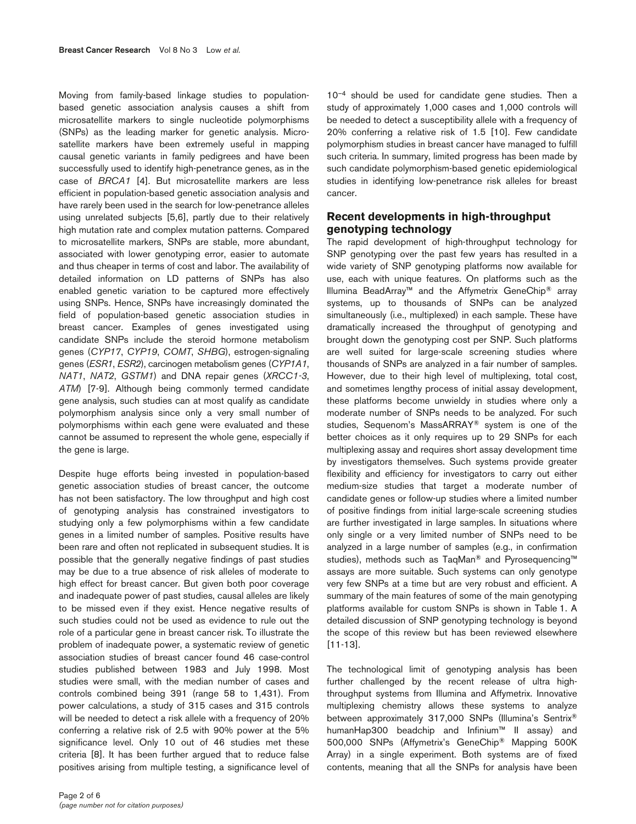Moving from family-based linkage studies to populationbased genetic association analysis causes a shift from microsatellite markers to single nucleotide polymorphisms (SNPs) as the leading marker for genetic analysis. Microsatellite markers have been extremely useful in mapping causal genetic variants in family pedigrees and have been successfully used to identify high-penetrance genes, as in the case of *BRCA1* [4]. But microsatellite markers are less efficient in population-based genetic association analysis and have rarely been used in the search for low-penetrance alleles using unrelated subjects [5,6], partly due to their relatively high mutation rate and complex mutation patterns. Compared to microsatellite markers, SNPs are stable, more abundant, associated with lower genotyping error, easier to automate and thus cheaper in terms of cost and labor. The availability of detailed information on LD patterns of SNPs has also enabled genetic variation to be captured more effectively using SNPs. Hence, SNPs have increasingly dominated the field of population-based genetic association studies in breast cancer. Examples of genes investigated using candidate SNPs include the steroid hormone metabolism genes (*CYP17*, *CYP19*, *COMT*, *SHBG*), estrogen-signaling genes (*ESR1*, *ESR2*), carcinogen metabolism genes (*CYP1A1*, *NAT1*, *NAT2*, *GSTM1*) and DNA repair genes (*XRCC1-3*, *ATM*) [7-9]. Although being commonly termed candidate gene analysis, such studies can at most qualify as candidate polymorphism analysis since only a very small number of polymorphisms within each gene were evaluated and these cannot be assumed to represent the whole gene, especially if the gene is large.

Despite huge efforts being invested in population-based genetic association studies of breast cancer, the outcome has not been satisfactory. The low throughput and high cost of genotyping analysis has constrained investigators to studying only a few polymorphisms within a few candidate genes in a limited number of samples. Positive results have been rare and often not replicated in subsequent studies. It is possible that the generally negative findings of past studies may be due to a true absence of risk alleles of moderate to high effect for breast cancer. But given both poor coverage and inadequate power of past studies, causal alleles are likely to be missed even if they exist. Hence negative results of such studies could not be used as evidence to rule out the role of a particular gene in breast cancer risk. To illustrate the problem of inadequate power, a systematic review of genetic association studies of breast cancer found 46 case-control studies published between 1983 and July 1998. Most studies were small, with the median number of cases and controls combined being 391 (range 58 to 1,431). From power calculations, a study of 315 cases and 315 controls will be needed to detect a risk allele with a frequency of 20% conferring a relative risk of 2.5 with 90% power at the 5% significance level. Only 10 out of 46 studies met these criteria [8]. It has been further argued that to reduce false positives arising from multiple testing, a significance level of

10<sup>-4</sup> should be used for candidate gene studies. Then a study of approximately 1,000 cases and 1,000 controls will be needed to detect a susceptibility allele with a frequency of 20% conferring a relative risk of 1.5 [10]. Few candidate polymorphism studies in breast cancer have managed to fulfill such criteria. In summary, limited progress has been made by such candidate polymorphism-based genetic epidemiological studies in identifying low-penetrance risk alleles for breast cancer.

# **Recent developments in high-throughput genotyping technology**

The rapid development of high-throughput technology for SNP genotyping over the past few years has resulted in a wide variety of SNP genotyping platforms now available for use, each with unique features. On platforms such as the Illumina BeadArray™ and the Affymetrix GeneChip® array systems, up to thousands of SNPs can be analyzed simultaneously (i.e., multiplexed) in each sample. These have dramatically increased the throughput of genotyping and brought down the genotyping cost per SNP. Such platforms are well suited for large-scale screening studies where thousands of SNPs are analyzed in a fair number of samples. However, due to their high level of multiplexing, total cost, and sometimes lengthy process of initial assay development, these platforms become unwieldy in studies where only a moderate number of SNPs needs to be analyzed. For such studies, Sequenom's MassARRAY® system is one of the better choices as it only requires up to 29 SNPs for each multiplexing assay and requires short assay development time by investigators themselves. Such systems provide greater flexibility and efficiency for investigators to carry out either medium-size studies that target a moderate number of candidate genes or follow-up studies where a limited number of positive findings from initial large-scale screening studies are further investigated in large samples. In situations where only single or a very limited number of SNPs need to be analyzed in a large number of samples (e.g., in confirmation studies), methods such as TaqMan® and Pyrosequencing™ assays are more suitable. Such systems can only genotype very few SNPs at a time but are very robust and efficient. A summary of the main features of some of the main genotyping platforms available for custom SNPs is shown in Table 1. A detailed discussion of SNP genotyping technology is beyond the scope of this review but has been reviewed elsewhere [11-13].

The technological limit of genotyping analysis has been further challenged by the recent release of ultra highthroughput systems from Illumina and Affymetrix. Innovative multiplexing chemistry allows these systems to analyze between approximately 317,000 SNPs (Illumina's Sentrix® humanHap300 beadchip and Infinium™ II assay) and 500,000 SNPs (Affymetrix's GeneChip® Mapping 500K Array) in a single experiment. Both systems are of fixed contents, meaning that all the SNPs for analysis have been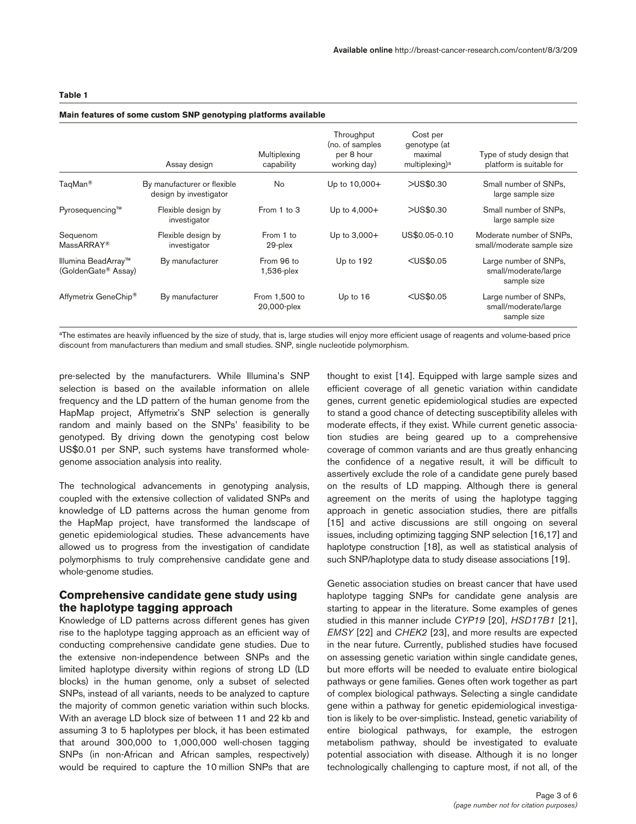#### **Table 1**

#### **Main features of some custom SNP genotyping platforms available**

|                                                        | Assay design                                          | Multiplexing<br>capability   | Throughput<br>(no. of samples<br>per 8 hour<br>working day) | Cost per<br>genotype (at<br>maximal<br>multiplexing) <sup>a</sup> | Type of study design that<br>platform is suitable for        |
|--------------------------------------------------------|-------------------------------------------------------|------------------------------|-------------------------------------------------------------|-------------------------------------------------------------------|--------------------------------------------------------------|
| TagMan <sup>®</sup>                                    | By manufacturer or flexible<br>design by investigator | No                           | Up to 10,000+                                               | >US\$0.30                                                         | Small number of SNPs,<br>large sample size                   |
| Pyrosequencing™                                        | Flexible design by<br>investigator                    | From 1 to 3                  | Up to $4,000+$                                              | >US\$0.30                                                         | Small number of SNPs.<br>large sample size                   |
| Sequenom<br>MassARRAY®                                 | Flexible design by<br>investigator                    | From 1 to<br>29-plex         | Up to 3,000+                                                | US\$0.05-0.10                                                     | Moderate number of SNPs.<br>small/moderate sample size       |
| Illumina BeadArray™<br>(GoldenGate <sup>®</sup> Assay) | By manufacturer                                       | From 96 to<br>1,536-plex     | Up to 192                                                   | $<$ US\$0.05                                                      | Large number of SNPs,<br>small/moderate/large<br>sample size |
| Affymetrix GeneChip <sup>®</sup>                       | By manufacturer                                       | From 1,500 to<br>20,000-plex | Up to 16                                                    | $<$ US\$0.05                                                      | Large number of SNPs,<br>small/moderate/large<br>sample size |

aThe estimates are heavily influenced by the size of study, that is, large studies will enjoy more efficient usage of reagents and volume-based price discount from manufacturers than medium and small studies. SNP, single nucleotide polymorphism.

pre-selected by the manufacturers. While Illumina's SNP selection is based on the available information on allele frequency and the LD pattern of the human genome from the HapMap project, Affymetrix's SNP selection is generally random and mainly based on the SNPs' feasibility to be genotyped. By driving down the genotyping cost below US\$0.01 per SNP, such systems have transformed wholegenome association analysis into reality.

The technological advancements in genotyping analysis, coupled with the extensive collection of validated SNPs and knowledge of LD patterns across the human genome from the HapMap project, have transformed the landscape of genetic epidemiological studies. These advancements have allowed us to progress from the investigation of candidate polymorphisms to truly comprehensive candidate gene and whole-genome studies.

## **Comprehensive candidate gene study using the haplotype tagging approach**

Knowledge of LD patterns across different genes has given rise to the haplotype tagging approach as an efficient way of conducting comprehensive candidate gene studies. Due to the extensive non-independence between SNPs and the limited haplotype diversity within regions of strong LD (LD blocks) in the human genome, only a subset of selected SNPs, instead of all variants, needs to be analyzed to capture the majority of common genetic variation within such blocks. With an average LD block size of between 11 and 22 kb and assuming 3 to 5 haplotypes per block, it has been estimated that around 300,000 to 1,000,000 well-chosen tagging SNPs (in non-African and African samples, respectively) would be required to capture the 10 million SNPs that are

thought to exist [14]. Equipped with large sample sizes and efficient coverage of all genetic variation within candidate genes, current genetic epidemiological studies are expected to stand a good chance of detecting susceptibility alleles with moderate effects, if they exist. While current genetic association studies are being geared up to a comprehensive coverage of common variants and are thus greatly enhancing the confidence of a negative result, it will be difficult to assertively exclude the role of a candidate gene purely based on the results of LD mapping. Although there is general agreement on the merits of using the haplotype tagging approach in genetic association studies, there are pitfalls [15] and active discussions are still ongoing on several issues, including optimizing tagging SNP selection [16,17] and haplotype construction [18], as well as statistical analysis of such SNP/haplotype data to study disease associations [19].

Genetic association studies on breast cancer that have used haplotype tagging SNPs for candidate gene analysis are starting to appear in the literature. Some examples of genes studied in this manner include *CYP19* [20], *HSD17B1* [21], *EMSY* [22] and *CHEK2* [23], and more results are expected in the near future. Currently, published studies have focused on assessing genetic variation within single candidate genes, but more efforts will be needed to evaluate entire biological pathways or gene families. Genes often work together as part of complex biological pathways. Selecting a single candidate gene within a pathway for genetic epidemiological investigation is likely to be over-simplistic. Instead, genetic variability of entire biological pathways, for example, the estrogen metabolism pathway, should be investigated to evaluate potential association with disease. Although it is no longer technologically challenging to capture most, if not all, of the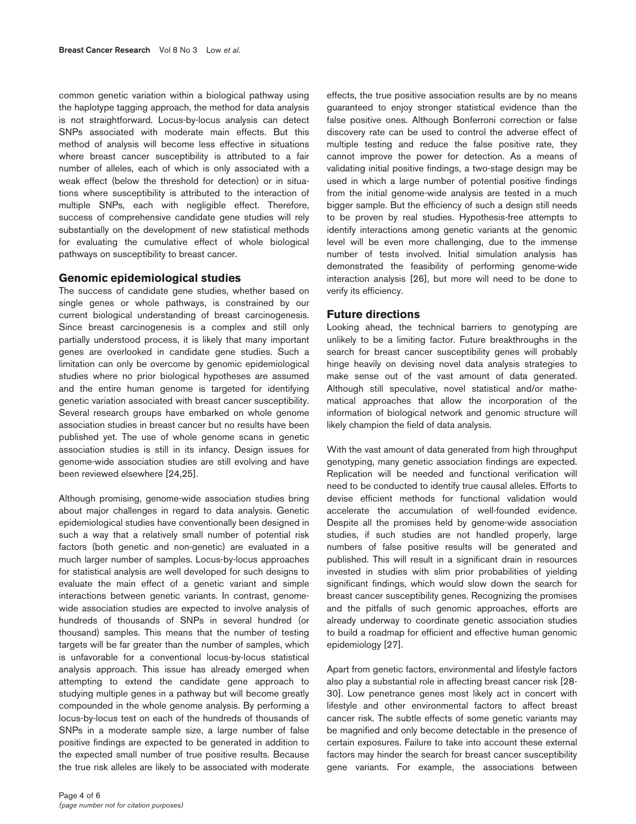common genetic variation within a biological pathway using the haplotype tagging approach, the method for data analysis is not straightforward. Locus-by-locus analysis can detect SNPs associated with moderate main effects. But this method of analysis will become less effective in situations where breast cancer susceptibility is attributed to a fair number of alleles, each of which is only associated with a weak effect (below the threshold for detection) or in situations where susceptibility is attributed to the interaction of multiple SNPs, each with negligible effect. Therefore, success of comprehensive candidate gene studies will rely substantially on the development of new statistical methods for evaluating the cumulative effect of whole biological pathways on susceptibility to breast cancer.

### **Genomic epidemiological studies**

The success of candidate gene studies, whether based on single genes or whole pathways, is constrained by our current biological understanding of breast carcinogenesis. Since breast carcinogenesis is a complex and still only partially understood process, it is likely that many important genes are overlooked in candidate gene studies. Such a limitation can only be overcome by genomic epidemiological studies where no prior biological hypotheses are assumed and the entire human genome is targeted for identifying genetic variation associated with breast cancer susceptibility. Several research groups have embarked on whole genome association studies in breast cancer but no results have been published yet. The use of whole genome scans in genetic association studies is still in its infancy. Design issues for genome-wide association studies are still evolving and have been reviewed elsewhere [24,25].

Although promising, genome-wide association studies bring about major challenges in regard to data analysis. Genetic epidemiological studies have conventionally been designed in such a way that a relatively small number of potential risk factors (both genetic and non-genetic) are evaluated in a much larger number of samples. Locus-by-locus approaches for statistical analysis are well developed for such designs to evaluate the main effect of a genetic variant and simple interactions between genetic variants. In contrast, genomewide association studies are expected to involve analysis of hundreds of thousands of SNPs in several hundred (or thousand) samples. This means that the number of testing targets will be far greater than the number of samples, which is unfavorable for a conventional locus-by-locus statistical analysis approach. This issue has already emerged when attempting to extend the candidate gene approach to studying multiple genes in a pathway but will become greatly compounded in the whole genome analysis. By performing a locus-by-locus test on each of the hundreds of thousands of SNPs in a moderate sample size, a large number of false positive findings are expected to be generated in addition to the expected small number of true positive results. Because the true risk alleles are likely to be associated with moderate

effects, the true positive association results are by no means guaranteed to enjoy stronger statistical evidence than the false positive ones. Although Bonferroni correction or false discovery rate can be used to control the adverse effect of multiple testing and reduce the false positive rate, they cannot improve the power for detection. As a means of validating initial positive findings, a two-stage design may be used in which a large number of potential positive findings from the initial genome-wide analysis are tested in a much bigger sample. But the efficiency of such a design still needs to be proven by real studies. Hypothesis-free attempts to identify interactions among genetic variants at the genomic level will be even more challenging, due to the immense number of tests involved. Initial simulation analysis has demonstrated the feasibility of performing genome-wide interaction analysis [26], but more will need to be done to verify its efficiency.

### **Future directions**

Looking ahead, the technical barriers to genotyping are unlikely to be a limiting factor. Future breakthroughs in the search for breast cancer susceptibility genes will probably hinge heavily on devising novel data analysis strategies to make sense out of the vast amount of data generated. Although still speculative, novel statistical and/or mathematical approaches that allow the incorporation of the information of biological network and genomic structure will likely champion the field of data analysis.

With the vast amount of data generated from high throughput genotyping, many genetic association findings are expected. Replication will be needed and functional verification will need to be conducted to identify true causal alleles. Efforts to devise efficient methods for functional validation would accelerate the accumulation of well-founded evidence. Despite all the promises held by genome-wide association studies, if such studies are not handled properly, large numbers of false positive results will be generated and published. This will result in a significant drain in resources invested in studies with slim prior probabilities of yielding significant findings, which would slow down the search for breast cancer susceptibility genes. Recognizing the promises and the pitfalls of such genomic approaches, efforts are already underway to coordinate genetic association studies to build a roadmap for efficient and effective human genomic epidemiology [27].

Apart from genetic factors, environmental and lifestyle factors also play a substantial role in affecting breast cancer risk [28- 30]. Low penetrance genes most likely act in concert with lifestyle and other environmental factors to affect breast cancer risk. The subtle effects of some genetic variants may be magnified and only become detectable in the presence of certain exposures. Failure to take into account these external factors may hinder the search for breast cancer susceptibility gene variants. For example, the associations between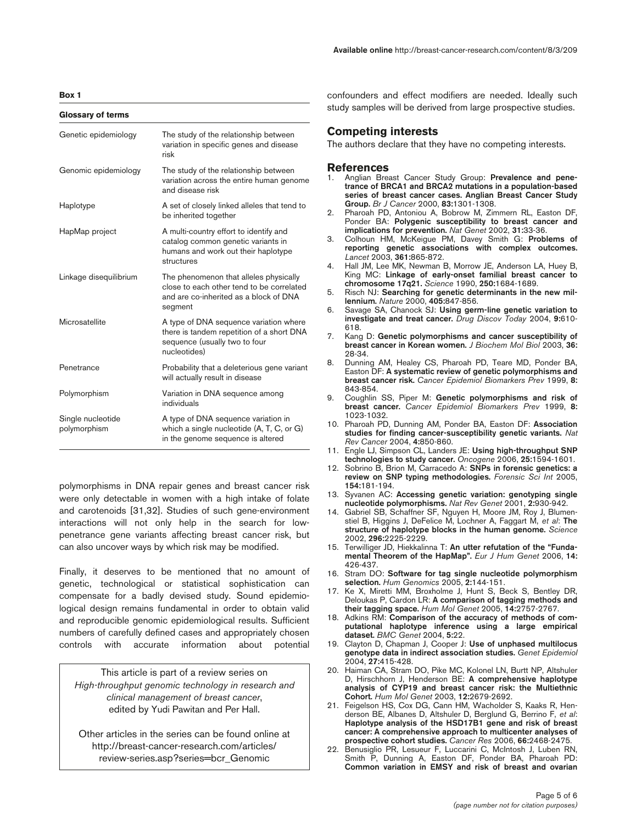**Box 1**

#### **Glossary of terms**

| Genetic epidemiology              | The study of the relationship between<br>variation in specific genes and disease<br>risk                                                 |
|-----------------------------------|------------------------------------------------------------------------------------------------------------------------------------------|
| Genomic epidemiology              | The study of the relationship between<br>variation across the entire human genome<br>and disease risk                                    |
| Haplotype                         | A set of closely linked alleles that tend to<br>be inherited together                                                                    |
| HapMap project                    | A multi-country effort to identify and<br>catalog common genetic variants in<br>humans and work out their haplotype<br>structures        |
| Linkage disequilibrium            | The phenomenon that alleles physically<br>close to each other tend to be correlated<br>and are co-inherited as a block of DNA<br>segment |
| Microsatellite                    | A type of DNA sequence variation where<br>there is tandem repetition of a short DNA<br>sequence (usually two to four<br>nucleotides)     |
| Penetrance                        | Probability that a deleterious gene variant<br>will actually result in disease                                                           |
| Polymorphism                      | Variation in DNA sequence among<br>individuals                                                                                           |
| Single nucleotide<br>polymorphism | A type of DNA sequence variation in<br>which a single nucleotide (A, T, C, or G)<br>in the genome sequence is altered                    |

polymorphisms in DNA repair genes and breast cancer risk were only detectable in women with a high intake of folate and carotenoids [31,32]. Studies of such gene-environment interactions will not only help in the search for lowpenetrance gene variants affecting breast cancer risk, but can also uncover ways by which risk may be modified.

Finally, it deserves to be mentioned that no amount of genetic, technological or statistical sophistication can compensate for a badly devised study. Sound epidemiological design remains fundamental in order to obtain valid and reproducible genomic epidemiological results. Sufficient numbers of carefully defined cases and appropriately chosen controls with accurate information about potential

This article is part of a review series on *High-throughput genomic technology in research and clinical management of breast cancer*, edited by Yudi Pawitan and Per Hall.

Other articles in the series can be found online at http://breast-cancer-research.com/articles/ review-series.asp?series=bcr\_Genomic

confounders and effect modifiers are needed. Ideally such study samples will be derived from large prospective studies.

## **Competing interests**

The authors declare that they have no competing interests.

#### **References**

- Anglian Breast Cancer Study Group: Prevalence and pene**trance of BRCA1 and BRCA2 mutations in a population-based series of breast cancer cases. Anglian Breast Cancer Study Group.** *Br J Cancer* 2000, **83:**1301-1308.
- 2. Pharoah PD, Antoniou A, Bobrow M, Zimmern RL, Easton DF, Ponder BA: **Polygenic susceptibility to breast cancer and implications for prevention.** *Nat Genet* 2002, **31:**33-36.
- 3. Colhoun HM, McKeigue PM, Davey Smith G: **Problems of reporting genetic associations with complex outcomes.** *Lancet* 2003, **361:**865-872.
- 4. Hall JM, Lee MK, Newman B, Morrow JE, Anderson LA, Huey B, King MC: **Linkage of early-onset familial breast cancer to chromosome 17q21.** *Science* 1990, **250:**1684-1689.
- 5. Risch NJ: **Searching for genetic determinants in the new millennium.** *Nature* 2000, **405:**847-856.
- 6. Savage SA, Chanock SJ: **Using germ-line genetic variation to investigate and treat cancer.** *Drug Discov Today* 2004, **9:**610- 618.
- 7. Kang D: **Genetic polymorphisms and cancer susceptibility of breast cancer in Korean women.** *J Biochem Mol Biol* 2003, **36:** 28-34.
- 8. Dunning AM, Healey CS, Pharoah PD, Teare MD, Ponder BA, Easton DF: **A systematic review of genetic polymorphisms and breast cancer risk.** *Cancer Epidemiol Biomarkers Prev* 1999, **8:** 843-854.
- 9. Coughlin SS, Piper M: **Genetic polymorphisms and risk of breast cancer.** *Cancer Epidemiol Biomarkers Prev* 1999, **8:** 1023-1032.
- 10. Pharoah PD, Dunning AM, Ponder BA, Easton DF: **Association studies for finding cancer-susceptibility genetic variants.** *Nat Rev Cancer* 2004, **4:**850-860.
- 11. Engle LJ, Simpson CL, Landers JE: **Using high-throughput SNP technologies to study cancer.** *Oncogene* 2006, **25:**1594-1601.
- 12. Sobrino B, Brion M, Carracedo A: **SNPs in forensic genetics: a review on SNP typing methodologies.** *Forensic Sci Int* 2005, **154:**181-194.
- 13. Syvanen AC: **Accessing genetic variation: genotyping single nucleotide polymorphisms.** *Nat Rev Genet* 2001, **2:**930-942.
- 14. Gabriel SB, Schaffner SF, Nguyen H, Moore JM, Roy J, Blumenstiel B, Higgins J, DeFelice M, Lochner A, Faggart M, *et al*: **The structure of haplotype blocks in the human genome.** *Science* 2002, **296:**2225-2229.
- 15. Terwilliger JD, Hiekkalinna T: **An utter refutation of the "Fundamental Theorem of the HapMap".** *Eur J Hum Genet* 2006, **14:** 426-437.
- 16. Stram DO: **Software for tag single nucleotide polymorphism selection.** *Hum Genomics* 2005, **2:**144-151.
- 17. Ke X, Miretti MM, Broxholme J, Hunt S, Beck S, Bentley DR, Deloukas P, Cardon LR: **A comparison of tagging methods and their tagging space.** *Hum Mol Genet* 2005, **14:**2757-2767.
- 18. Adkins RM: **Comparison of the accuracy of methods of computational haplotype inference using a large empirical dataset.** *BMC Genet* 2004, **5:**22.
- 19. Clayton D, Chapman J, Cooper J: **Use of unphased multilocus genotype data in indirect association studies.** *Genet Epidemiol* 2004, **27:**415-428.
- 20. Haiman CA, Stram DO, Pike MC, Kolonel LN, Burtt NP, Altshuler D, Hirschhorn J, Henderson BE: **A comprehensive haplotype analysis of CYP19 and breast cancer risk: the Multiethnic Cohort.** *Hum Mol Genet* 2003, **12:**2679-2692.
- 21. Feigelson HS, Cox DG, Cann HM, Wacholder S, Kaaks R, Henderson BE, Albanes D, Altshuler D, Berglund G, Berrino F, *et al*: **Haplotype analysis of the HSD17B1 gene and risk of breast cancer: A comprehensive approach to multicenter analyses of prospective cohort studies.** *Cancer Res* 2006, **66:**2468-2475.
- 22. Benusiglio PR, Lesueur F, Luccarini C, McIntosh J, Luben RN, Smith P, Dunning A, Easton DF, Ponder BA, Pharoah PD: **Common variation in EMSY and risk of breast and ovarian**